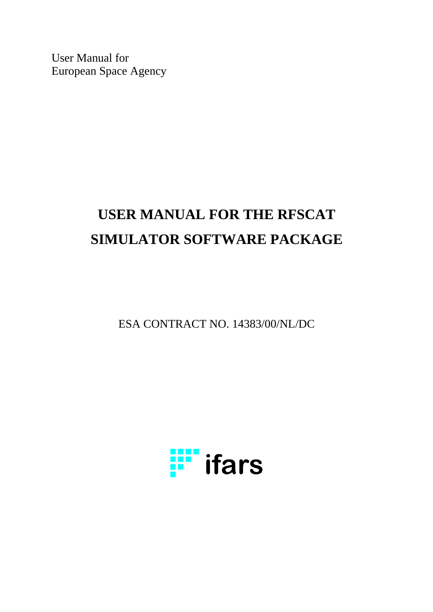User Manual for European Space Agency

# **USER MANUAL FOR THE RFSCAT SIMULATOR SOFTWARE PACKAGE**

ESA CONTRACT NO. 14383/00/NL/DC

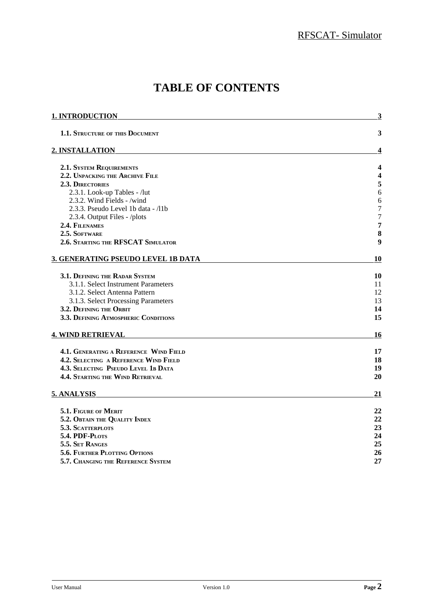# **TABLE OF CONTENTS**

| 1. INTRODUCTION                         | $\overline{\mathbf{3}}$ |
|-----------------------------------------|-------------------------|
| <b>1.1. STRUCTURE OF THIS DOCUMENT</b>  | 3                       |
| 2. INSTALLATION                         | 4                       |
| <b>2.1. SYSTEM REQUIREMENTS</b>         | 4                       |
| 2.2. UNPACKING THE ARCHIVE FILE         | 4                       |
| <b>2.3. DIRECTORIES</b>                 | 5                       |
| 2.3.1. Look-up Tables - /lut            | 6                       |
| 2.3.2. Wind Fields - /wind              | 6                       |
| 2.3.3. Pseudo Level 1b data - /11b      | $\overline{7}$          |
| 2.3.4. Output Files - /plots            | $\overline{7}$          |
| 2.4. FILENAMES                          | 7                       |
| 2.5. SOFTWARE                           | 8                       |
| 2.6. STARTING THE RFSCAT SIMULATOR      | 9                       |
| 3. GENERATING PSEUDO LEVEL 1B DATA      | 10                      |
| 3.1. DEFINING THE RADAR SYSTEM          | 10                      |
| 3.1.1. Select Instrument Parameters     | 11                      |
| 3.1.2. Select Antenna Pattern           | 12                      |
| 3.1.3. Select Processing Parameters     | 13                      |
| 3.2. DEFINING THE ORBIT                 | 14                      |
| 3.3. DEFINING ATMOSPHERIC CONDITIONS    | 15                      |
| <b>4. WIND RETRIEVAL</b>                | <u> 16</u>              |
| 4.1. GENERATING A REFERENCE WIND FIELD  | 17                      |
| 4.2. SELECTING A REFERENCE WIND FIELD   | 18                      |
| 4.3. SELECTING PSEUDO LEVEL 1B DATA     | 19                      |
| <b>4.4. STARTING THE WIND RETRIEVAL</b> | 20                      |
| 5. ANALYSIS                             | 21                      |
| 5.1. FIGURE OF MERIT                    | 22                      |
| 5.2. OBTAIN THE QUALITY INDEX           | 22                      |
| 5.3. SCATTERPLOTS                       | 23                      |
| 5.4. PDF-PLOTS                          | 24                      |
| 5.5. SET RANGES                         | 25                      |
| 5.6. FURTHER PLOTTING OPTIONS           | 26                      |
| 5.7. CHANGING THE REFERENCE SYSTEM      | 27                      |
|                                         |                         |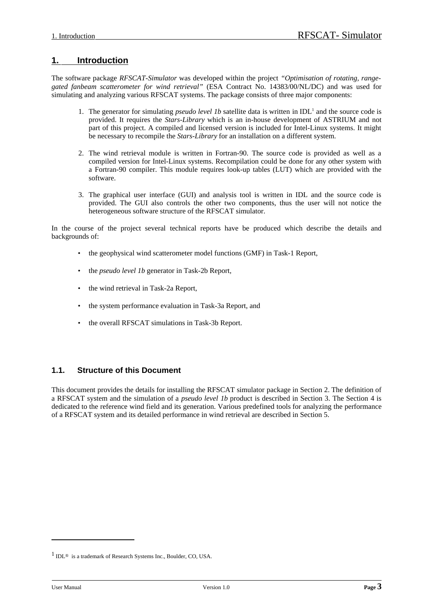# **1. Introduction**

The software package *RFSCAT-Simulator* was developed within the project *"Optimisation of rotating, rangegated fanbeam scatterometer for wind retrieval"* (ESA Contract No. 14383/00/NL/DC) and was used for simulating and analyzing various RFSCAT systems. The package consists of three major components:

- 1. The generator for simulating *pseudo level 1b* satellite data is written in IDL<sup>1</sup> and the source code is provided. It requires the *Stars-Library* which is an in-house development of ASTRIUM and not part of this project. A compiled and licensed version is included for Intel-Linux systems. It might be necessary to recompile the *Stars-Library* for an installation on a different system.
- 2. The wind retrieval module is written in Fortran-90. The source code is provided as well as a compiled version for Intel-Linux systems. Recompilation could be done for any other system with a Fortran-90 compiler. This module requires look-up tables (LUT) which are provided with the software.
- 3. The graphical user interface (GUI) and analysis tool is written in IDL and the source code is provided. The GUI also controls the other two components, thus the user will not notice the heterogeneous software structure of the RFSCAT simulator.

In the course of the project several technical reports have be produced which describe the details and backgrounds of:

- the geophysical wind scatterometer model functions (GMF) in Task-1 Report,
- the *pseudo level 1b* generator in Task-2b Report,
- the wind retrieval in Task-2a Report,
- the system performance evaluation in Task-3a Report, and
- the overall RFSCAT simulations in Task-3b Report.

# **1.1. Structure of this Document**

This document provides the details for installing the RFSCAT simulator package in Section 2. The definition of a RFSCAT system and the simulation of a *pseudo level 1b* product is described in Section 3. The Section 4 is dedicated to the reference wind field and its generation. Various predefined tools for analyzing the performance of a RFSCAT system and its detailed performance in wind retrieval are described in Section 5.

<sup>1</sup> IDL® is a trademark of Research Systems Inc., Boulder, CO, USA.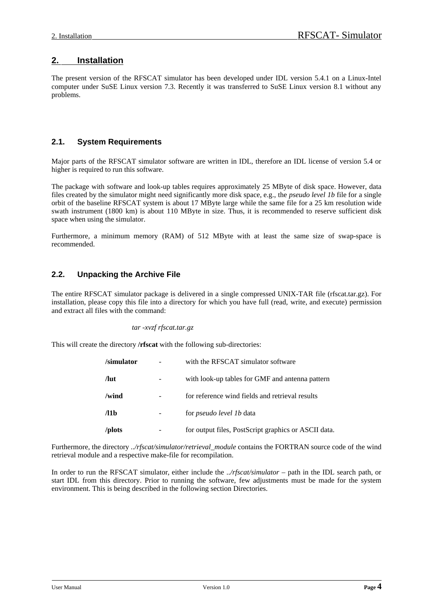# **2. Installation**

The present version of the RFSCAT simulator has been developed under IDL version 5.4.1 on a Linux-Intel computer under SuSE Linux version 7.3. Recently it was transferred to SuSE Linux version 8.1 without any problems.

# **2.1. System Requirements**

Major parts of the RFSCAT simulator software are written in IDL, therefore an IDL license of version 5.4 or higher is required to run this software.

The package with software and look-up tables requires approximately 25 MByte of disk space. However, data files created by the simulator might need significantly more disk space, e.g., the *pseudo level 1b* file for a single orbit of the baseline RFSCAT system is about 17 MByte large while the same file for a 25 km resolution wide swath instrument (1800 km) is about 110 MByte in size. Thus, it is recommended to reserve sufficient disk space when using the simulator.

Furthermore, a minimum memory (RAM) of 512 MByte with at least the same size of swap-space is recommended.

# **2.2. Unpacking the Archive File**

The entire RFSCAT simulator package is delivered in a single compressed UNIX-TAR file (rfscat.tar.gz). For installation, please copy this file into a directory for which you have full (read, write, and execute) permission and extract all files with the command:

#### *tar -xvzf rfscat.tar.gz*

This will create the directory **/rfscat** with the following sub-directories:

| /simulator   | with the RFSCAT simulator software                   |
|--------------|------------------------------------------------------|
| $\int$ lut   | with look-up tables for GMF and antenna pattern      |
| /wind        | for reference wind fields and retrieval results      |
| $\sqrt{11b}$ | for <i>pseudo level 1b</i> data                      |
| /plots       | for output files, PostScript graphics or ASCII data. |

Furthermore, the directory *../rfscat/simulator/retrieval\_module* contains the FORTRAN source code of the wind retrieval module and a respective make-file for recompilation.

In order to run the RFSCAT simulator, either include the *../rfscat/simulator* – path in the IDL search path, or start IDL from this directory. Prior to running the software, few adjustments must be made for the system environment. This is being described in the following section Directories.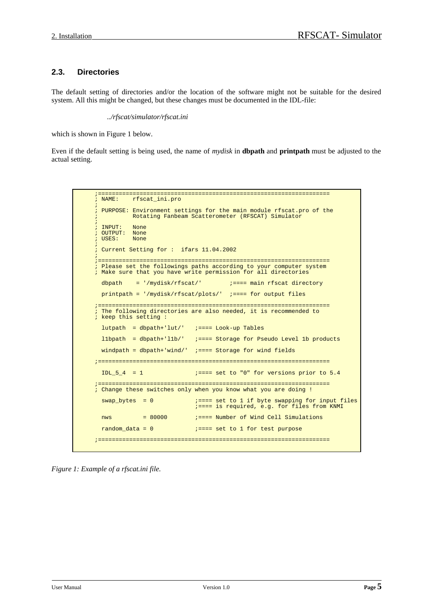# **2.3. Directories**

The default setting of directories and/or the location of the software might not be suitable for the desired system. All this might be changed, but these changes must be documented in the IDL-file:

 *../rfscat/simulator/rfscat.ini*

which is shown in Figure 1 below.

Even if the default setting is being used, the name of *mydisk* in **dbpath** and **printpath** must be adjusted to the actual setting.

```
;===================================================================
          rfscat_ini.pro
;
; PURPOSE: Environment settings for the main module rfscat.pro of the
          Rotating Fanbeam Scatterometer (RFSCAT) Simulator
;
; INPUT: None
; OUTPUT: None<br>; USES: None
; USES:
;
; Current Setting for : ifars 11.04.2002
;
    ;===================================================================
; Please set the followings paths according to your computer system
; Make sure that you have write permission for all directories
 dbpath = '/mydisk/rfscat/' := := := = min rfscat directory
  printpath = '/mydisk/rfscat/plots/' ;==== for output files
;===================================================================
; The following directories are also needed, it is recommended to
; keep this setting :
 lutpath = dbpath+ 'lut/ ' ;==== Look-up Tables
  l1bpath = dbpath+'l1b/' ;==== Storage for Pseudo Level 1b products
 windpath = dbpath+'wind/' i == 5 Storage for wind fields
;===================================================================
 IDL_5_4 = 1 ;==== set to "0" for versions prior to 5.4
;===================================================================
; Change these switches only when you know what you are doing !
 swap_bytes = 0 ;==== set to 1 if byte swapping for input files
 ;==== is required, e.g. for files from KNMI
  nws = 80000 ;==== Number of Wind Cell Simulations
 random data = 0 ;==== set to 1 for test purpose
;===================================================================
```
*Figure 1: Example of a rfscat.ini file.*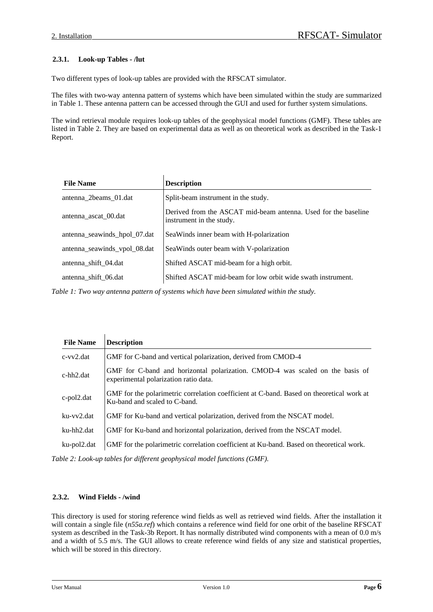# **2.3.1. Look-up Tables - /lut**

Two different types of look-up tables are provided with the RFSCAT simulator.

The files with two-way antenna pattern of systems which have been simulated within the study are summarized in Table 1. These antenna pattern can be accessed through the GUI and used for further system simulations.

The wind retrieval module requires look-up tables of the geophysical model functions (GMF). These tables are listed in Table 2. They are based on experimental data as well as on theoretical work as described in the Task-1 Report.

| <b>File Name</b>             | <b>Description</b>                                                                         |
|------------------------------|--------------------------------------------------------------------------------------------|
| antenna_2beams_01.dat        | Split-beam instrument in the study.                                                        |
| antenna ascat 00.dat         | Derived from the ASCAT mid-beam antenna. Used for the baseline<br>instrument in the study. |
| antenna_seawinds_hpol_07.dat | Sea Winds inner beam with H-polarization                                                   |
| antenna_seawinds_vpol_08.dat | Sea Winds outer beam with V-polarization                                                   |
| antenna_shift_04.dat         | Shifted ASCAT mid-beam for a high orbit.                                                   |
| antenna_shift_06.dat         | Shifted ASCAT mid-beam for low orbit wide swath instrument.                                |

*Table 1: Two way antenna pattern of systems which have been simulated within the study.*

| <b>File Name</b> | <b>Description</b>                                                                                                        |
|------------------|---------------------------------------------------------------------------------------------------------------------------|
| $c$ -vv $2$ .dat | GMF for C-band and vertical polarization, derived from CMOD-4                                                             |
| $c$ -hh $2$ .dat | GMF for C-band and horizontal polarization. CMOD-4 was scaled on the basis of<br>experimental polarization ratio data.    |
| c-pol2.dat       | GMF for the polarimetric correlation coefficient at C-band. Based on theoretical work at<br>Ku-band and scaled to C-band. |
| ku-vv2.dat       | GMF for Ku-band and vertical polarization, derived from the NSCAT model.                                                  |
| ku-hh2.dat       | GMF for Ku-band and horizontal polarization, derived from the NSCAT model.                                                |
| ku-pol2.dat      | GMF for the polarimetric correlation coefficient at Ku-band. Based on theoretical work.                                   |

*Table 2: Look-up tables for different geophysical model functions (GMF).*

#### **2.3.2. Wind Fields - /wind**

This directory is used for storing reference wind fields as well as retrieved wind fields. After the installation it will contain a single file (*n55a.ref*) which contains a reference wind field for one orbit of the baseline RFSCAT system as described in the Task-3b Report. It has normally distributed wind components with a mean of 0.0 m/s and a width of 5.5 m/s. The GUI allows to create reference wind fields of any size and statistical properties, which will be stored in this directory.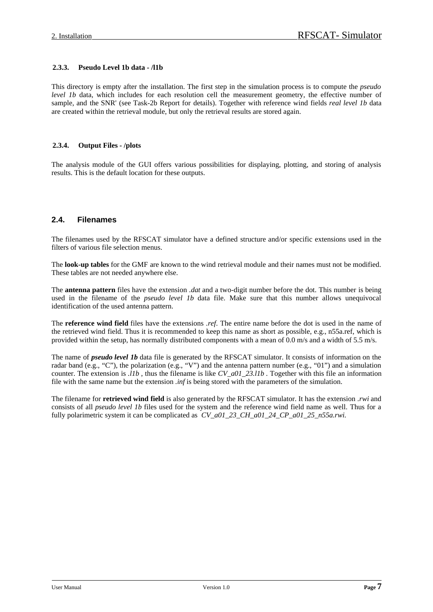#### **2.3.3. Pseudo Level 1b data - /l1b**

This directory is empty after the installation. The first step in the simulation process is to compute the *pseudo level 1b* data, which includes for each resolution cell the measurement geometry, the effective number of sample, and the SNR' (see Task-2b Report for details). Together with reference wind fields *real level 1b* data are created within the retrieval module, but only the retrieval results are stored again.

#### **2.3.4. Output Files - /plots**

The analysis module of the GUI offers various possibilities for displaying, plotting, and storing of analysis results. This is the default location for these outputs.

### **2.4. Filenames**

The filenames used by the RFSCAT simulator have a defined structure and/or specific extensions used in the filters of various file selection menus.

The **look-up tables** for the GMF are known to the wind retrieval module and their names must not be modified. These tables are not needed anywhere else.

The **antenna pattern** files have the extension *.dat* and a two-digit number before the dot. This number is being used in the filename of the *pseudo level 1b* data file. Make sure that this number allows unequivocal identification of the used antenna pattern.

The **reference wind field** files have the extensions *.ref*. The entire name before the dot is used in the name of the retrieved wind field. Thus it is recommended to keep this name as short as possible, e.g., n55a.ref, which is provided within the setup, has normally distributed components with a mean of 0.0 m/s and a width of 5.5 m/s.

The name of *pseudo level 1b* data file is generated by the RFSCAT simulator. It consists of information on the radar band (e.g., "C"), the polarization (e.g., "V") and the antenna pattern number (e.g., "01") and a simulation counter. The extension is *.l1b* , thus the filename is like *CV\_a01\_23.l1b* . Together with this file an information file with the same name but the extension *.inf* is being stored with the parameters of the simulation.

The filename for **retrieved wind field** is also generated by the RFSCAT simulator. It has the extension *.rwi* and consists of all *pseudo level 1b* files used for the system and the reference wind field name as well. Thus for a fully polarimetric system it can be complicated as *CV\_a01\_23\_CH\_a01\_24\_CP\_a01\_25\_n55a.rwi.*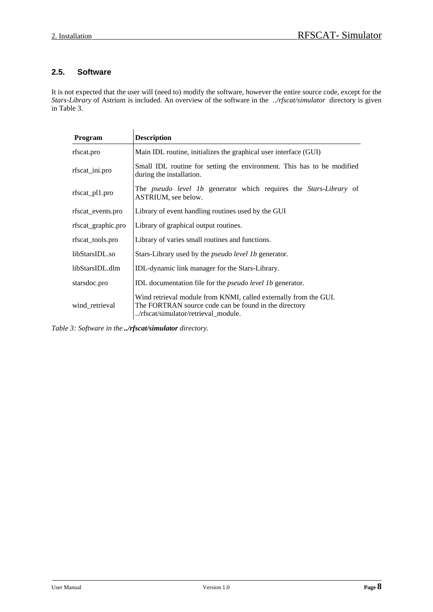# **2.5. Software**

It is not expected that the user will (need to) modify the software, however the entire source code, except for the *Stars-Library* of Astrium is included. An overview of the software in the *../rfscat/simulator* directory is given in Table 3.

| Program            | <b>Description</b>                                                                                                                                               |  |  |  |  |
|--------------------|------------------------------------------------------------------------------------------------------------------------------------------------------------------|--|--|--|--|
| rfscat.pro         | Main IDL routine, initializes the graphical user interface (GUI)                                                                                                 |  |  |  |  |
| rfscat_ini.pro     | Small IDL routine for setting the environment. This has to be modified<br>during the installation.                                                               |  |  |  |  |
| rfscat_pl1.pro     | The <i>pseudo level 1b</i> generator which requires the <i>Stars-Library</i> of<br>ASTRIUM, see below.                                                           |  |  |  |  |
| rfscat_events.pro  | Library of event handling routines used by the GUI                                                                                                               |  |  |  |  |
| rfscat_graphic.pro | Library of graphical output routines.                                                                                                                            |  |  |  |  |
| rfscat_tools.pro   | Library of varies small routines and functions.                                                                                                                  |  |  |  |  |
| libStarsIDL.so     | Stars-Library used by the <i>pseudo level 1b</i> generator.                                                                                                      |  |  |  |  |
| libStarsIDL.dlm    | IDL-dynamic link manager for the Stars-Library.                                                                                                                  |  |  |  |  |
| starsdoc.pro       | <b>IDL</b> documentation file for the <i>pseudo level 1b</i> generator.                                                                                          |  |  |  |  |
| wind_retrieval     | Wind retrieval module from KNMI, called externally from the GUI.<br>The FORTRAN source code can be found in the directory<br>/rfscat/simulator/retrieval module. |  |  |  |  |

*Table 3: Software in the ../rfscat/simulator directory.*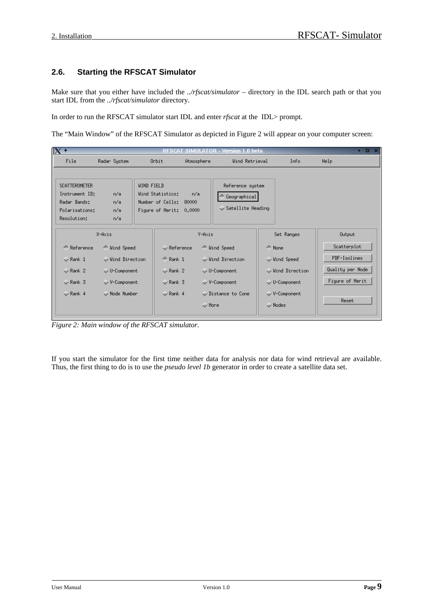# **2.6. Starting the RFSCAT Simulator**

Make sure that you either have included the *../rfscat/simulator* – directory in the IDL search path or that you start IDL from the *../rfscat/simulator* directory.

In order to run the RFSCAT simulator start IDL and enter *rfscat* at the IDL> prompt.

The "Main Window" of the RFSCAT Simulator as depicted in Figure 2 will appear on your computer screen:

| IX.<br>$-02$<br>SIMULATOR - Version 1.0 beta<br>RESCAT                                                                                                                                                                                                                |                    |  |                             |                                 |                |                                       |                  |  |
|-----------------------------------------------------------------------------------------------------------------------------------------------------------------------------------------------------------------------------------------------------------------------|--------------------|--|-----------------------------|---------------------------------|----------------|---------------------------------------|------------------|--|
| File                                                                                                                                                                                                                                                                  | Radar System       |  | Orbit                       | Atmosphere                      | Wind Retrieval | Info                                  | Help             |  |
| <b>WIND FIELD</b><br><b>SCATTEROMETER</b><br>Reference system<br>n/a<br>Instrument ID:<br>Wind Statistics:<br>n/a<br>◈ Geographical <br>Radar Bands:<br>n/a<br>Number of Cells: 80000<br>$\sim$ Satellite Heading<br>Figure of Merit: 0.0000<br>Polarisations:<br>n/a |                    |  |                             |                                 |                |                                       |                  |  |
| Resolution:                                                                                                                                                                                                                                                           | n/a                |  |                             |                                 |                |                                       |                  |  |
|                                                                                                                                                                                                                                                                       | X-Axis             |  |                             | Y-Axis                          |                | Set Ranges                            | Output           |  |
| ← Reference                                                                                                                                                                                                                                                           | ← Wind Speed       |  | $\leftrightarrow$ Reference | ← Wind Speed                    | ← None         |                                       | Scatterplot      |  |
| $\diamond$ Rank 1                                                                                                                                                                                                                                                     | Uind Direction     |  | $\triangle$ Rank 1          | Uind Direction                  |                | Uind Speed                            | PDF-Isolines     |  |
| $\leftrightarrow$ Rank 2                                                                                                                                                                                                                                              | $\vee$ U-Component |  | $\leftrightarrow$ Rank 2    | $\Diamond$ U-Component          |                | Uind Direction                        | Quality per Node |  |
| $\leftrightarrow$ Rank 3                                                                                                                                                                                                                                              | $\vee$ V-Component |  | $\sim$ Rank 3               | $\vee$ V-Component              |                | $\vee$ U-Component                    | Figure of Merit  |  |
| $\leftrightarrow$ Rank 4                                                                                                                                                                                                                                              | Node Number        |  | $\sqrt{}$ Rank 4            | Distance to Cone<br>$\vee$ More |                | $\sqrt{}$ V-Component<br>$\sim$ Nodes | Reset.           |  |

*Figure 2: Main window of the RFSCAT simulator.*

If you start the simulator for the first time neither data for analysis nor data for wind retrieval are available. Thus, the first thing to do is to use the *pseudo level 1b* generator in order to create a satellite data set.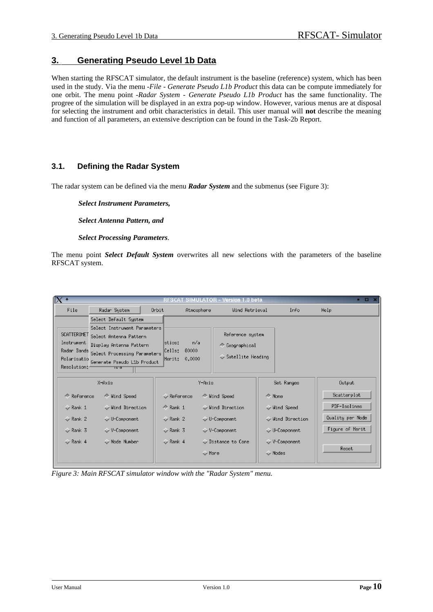# **3. Generating Pseudo Level 1b Data**

When starting the RFSCAT simulator, the default instrument is the baseline (reference) system, which has been used in the study. Via the menu *-File - Generate Pseudo L1b Product* this data can be compute immediately for one orbit. The menu point *-Radar System - Generate Pseudo L1b Product* has the same functionality. The progree of the simulation will be displayed in an extra pop-up window. However, various menus are at disposal for selecting the instrument and orbit characteristics in detail. This user manual will **not** describe the meaning and function of all parameters, an extensive description can be found in the Task-2b Report.

# **3.1. Defining the Radar System**

The radar system can be defined via the menu *Radar System* and the submenus (see Figure 3):

*Select Instrument Parameters,* 

*Select Antenna Pattern, and* 

#### *Select Processing Parameters*.

The menu point *Select Default System* overwrites all new selections with the parameters of the baseline RFSCAT system.

|                                                                                                                                                                                                        |                                                                                                  | .0 beta<br>Version 1                                                                                                                |                                                                                          | $-0.5$                                                                             |
|--------------------------------------------------------------------------------------------------------------------------------------------------------------------------------------------------------|--------------------------------------------------------------------------------------------------|-------------------------------------------------------------------------------------------------------------------------------------|------------------------------------------------------------------------------------------|------------------------------------------------------------------------------------|
| File<br>Radar System                                                                                                                                                                                   | Orbit                                                                                            | Wind Retrieval<br>Atmosphere                                                                                                        | Info                                                                                     | Help                                                                               |
| Select Default System<br>Select Instrument Parameters<br>SCATTEROMET<br>Select Antenna Pattern<br>Instrument<br>Display Antenna Pattern                                                                | lstics:                                                                                          | Reference system<br>n/al<br>← Geographical                                                                                          |                                                                                          |                                                                                    |
| Radar Bands<br>Cells:<br>80000<br>Select Processing Parameters<br>$\bullet$ Satellite Heading<br>0.0000<br>Merit:<br>Polarisatio<br>Generate Pseudo L1b Product<br>Resolution: 4<br>TM G               |                                                                                                  |                                                                                                                                     |                                                                                          |                                                                                    |
| X-Axis                                                                                                                                                                                                 |                                                                                                  | Y-Axis                                                                                                                              | Set Ranges                                                                               | Output                                                                             |
| ← Reference<br>← Uind Speed<br>Uind Direction<br>$\diamond$ Rank 1<br>$\leftrightarrow$ Rank 2<br><b>↓U-Component</b><br>$\leftrightarrow$ Rank 3<br>↓ V-Component<br>Mode Number<br>$\diamond$ Rank 4 | $\Diamond$ Reference<br>$Rank$ Rank 1<br>$\leftrightarrow$ Rank 2<br><b>◆ Rank 3</b><br>← Rank 4 | ← Wind Speed<br>Uind Direction<br>$\vee$ U-Component<br>$\sqrt{}$ V-Component<br>$\smile$ Distance to Cone<br>$\triangleright$ More | ← None<br>↓ Wind Speed<br>Uind Direction<br>$\vee$ U-Component<br>↓ V-Component<br>Modes | Scatterplot<br>PDF-Isolines<br>Quality per Node<br>Figure of Merit<br><b>Reset</b> |

*Figure 3: Main RFSCAT simulator window with the "Radar System" menu.*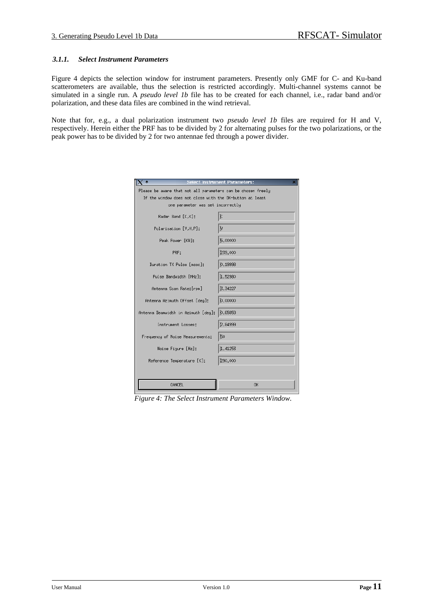#### *3.1.1. Select Instrument Parameters*

Figure 4 depicts the selection window for instrument parameters. Presently only GMF for C- and Ku-band scatterometers are available, thus the selection is restricted accordingly. Multi-channel systems cannot be simulated in a single run. A *pseudo level 1b* file has to be created for each channel, i.e., radar band and/or polarization, and these data files are combined in the wind retrieval.

Note that for, e.g., a dual polarization instrument two *pseudo level 1b* files are required for H and V, respectively. Herein either the PRF has to be divided by 2 for alternating pulses for the two polarizations, or the peak power has to be divided by 2 for two antennae fed through a power divider.

|                                                              | <b>Select Instrument Parameters:</b> |  |  |  |  |
|--------------------------------------------------------------|--------------------------------------|--|--|--|--|
| Please be aware that not all parameters can be chosen freely |                                      |  |  |  |  |
| If the window does not close with the OK-button at least     |                                      |  |  |  |  |
| one parameter was set incorrectly                            |                                      |  |  |  |  |
| Radar Band [C.K]:                                            | Č                                    |  |  |  |  |
| Polarisation [V.H.P]:                                        | V                                    |  |  |  |  |
| Peak Power [KW]:                                             | 5.00000                              |  |  |  |  |
| PRF:                                                         | 239.000                              |  |  |  |  |
| Duration TX Pulse [msec]:                                    | io.19998                             |  |  |  |  |
| Pulse Bandwidth [MHz]:                                       | 1.52980                              |  |  |  |  |
| Antenna Scan Rate: [rpm]                                     | 3.34227                              |  |  |  |  |
| Antenna Azimuth Offset [deg]:                                | 0.00000                              |  |  |  |  |
| Antenna Beamwidth in Azimuth [deg]:                          | 0.65859                              |  |  |  |  |
| Instrument Losses:                                           | 2.84999                              |  |  |  |  |
| Frequency of Noise Measurements:                             | 50                                   |  |  |  |  |
| Noise Figure [Hz]:                                           | 1.41253                              |  |  |  |  |
| Reference Temperature [K]:                                   | 290,000                              |  |  |  |  |
|                                                              |                                      |  |  |  |  |
| CANCEL                                                       | <b>OK</b>                            |  |  |  |  |

*Figure 4: The Select Instrument Parameters Window.*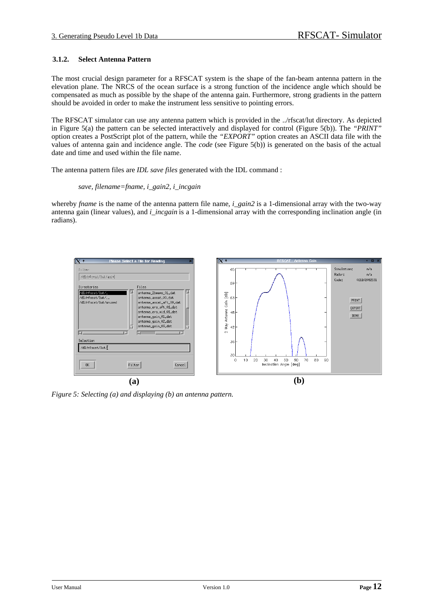#### **3.1.2. Select Antenna Pattern**

The most crucial design parameter for a RFSCAT system is the shape of the fan-beam antenna pattern in the elevation plane. The NRCS of the ocean surface is a strong function of the incidence angle which should be compensated as much as possible by the shape of the antenna gain. Furthermore, strong gradients in the pattern should be avoided in order to make the instrument less sensitive to pointing errors.

The RFSCAT simulator can use any antenna pattern which is provided in the ../rfscat/lut directory. As depicted in Figure 5(a) the pattern can be selected interactively and displayed for control (Figure 5(b)). The *"PRINT"* option creates a PostScript plot of the pattern, while the *"EXPORT"* option creates an ASCII data file with the values of antenna gain and incidence angle. The *code* (see Figure 5(b)) is generated on the basis of the actual date and time and used within the file name.

The antenna pattern files are *IDL save files* generated with the IDL command :

#### *save, filename=fname, i\_gain2, i\_incgain*

whereby *fname* is the name of the antenna pattern file name, *i\_gain2* is a 1-dimensional array with the two-way antenna gain (linear values), and *i* incgain is a 1-dimensional array with the corresponding inclination angle (in radians).



*Figure 5: Selecting (a) and displaying (b) an antenna pattern.*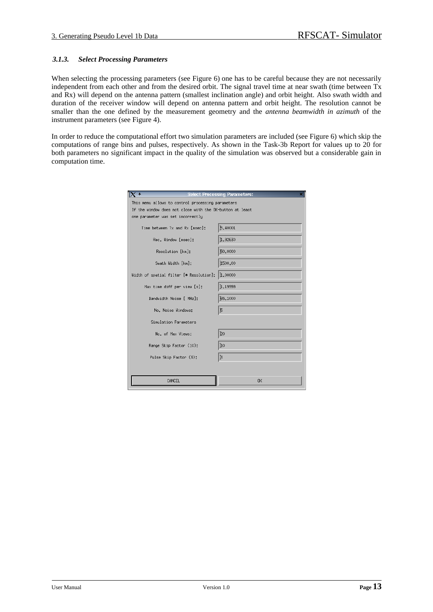#### *3.1.3. Select Processing Parameters*

When selecting the processing parameters (see Figure 6) one has to be careful because they are not necessarily independent from each other and from the desired orbit. The signal travel time at near swath (time between Tx and Rx) will depend on the antenna pattern (smallest inclination angle) and orbit height. Also swath width and duration of the receiver window will depend on antenna pattern and orbit height. The resolution cannot be smaller than the one defined by the measurement geometry and the *antenna beamwidth in azimuth* of the instrument parameters (see Figure 4).

In order to reduce the computational effort two simulation parameters are included (see Figure 6) which skip the computations of range bins and pulses, respectively. As shown in the Task-3b Report for values up to 20 for both parameters no significant impact in the quality of the simulation was observed but a considerable gain in computation time.

|                                                                                                                                                    | <b>Select Processing Parameters:</b> |  |  |  |  |
|----------------------------------------------------------------------------------------------------------------------------------------------------|--------------------------------------|--|--|--|--|
| This menu allows to control processing parameters<br>If the window does not close with the OK-button at least<br>one parameter was set incorrectly |                                      |  |  |  |  |
| Time between Tx and Rx [msec]:                                                                                                                     | 5.40001                              |  |  |  |  |
| Rec. Window [msec]:                                                                                                                                | 1.92630                              |  |  |  |  |
| Resolution [km]:                                                                                                                                   | 50,0000                              |  |  |  |  |
| Swath Width [km]:                                                                                                                                  | 1500.00                              |  |  |  |  |
| Width of spatial filter [* Resolution]:                                                                                                            | 1.00000                              |  |  |  |  |
| Max time diff per view [s]:                                                                                                                        | ř <sub>1.19999</sub>                 |  |  |  |  |
| Bandwidth Noise [ MHz]:                                                                                                                            | 65,1000                              |  |  |  |  |
| No. Noise Windows:                                                                                                                                 | 5                                    |  |  |  |  |
| Simulation Parameters                                                                                                                              |                                      |  |  |  |  |
| No. of Max Views:                                                                                                                                  | 20                                   |  |  |  |  |
| Range Skip Factor (10):                                                                                                                            | ĬΟ                                   |  |  |  |  |
| Pulse Skip Factor (3):                                                                                                                             | 3                                    |  |  |  |  |
|                                                                                                                                                    |                                      |  |  |  |  |
| CANCEL                                                                                                                                             | 0K                                   |  |  |  |  |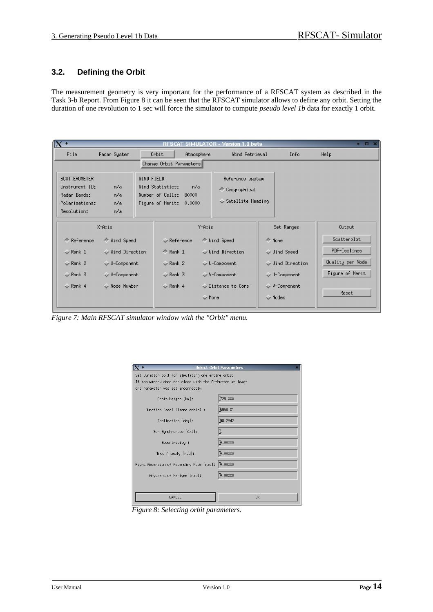# **3.2. Defining the Orbit**

The measurement geometry is very important for the performance of a RFSCAT system as described in the Task 3-b Report. From Figure 8 it can be seen that the RFSCAT simulator allows to define any orbit. Setting the duration of one revolution to 1 sec will force the simulator to compute *pseudo level 1b* data for exactly 1 orbit.

| $   \times$<br>' SIMULATOR - Version 1.0 beta<br>RESCAT                                                                                                                                                                                                                                       |                                                                                                   |                                                                                                                |                                                                                          |                                                                             |  |  |  |
|-----------------------------------------------------------------------------------------------------------------------------------------------------------------------------------------------------------------------------------------------------------------------------------------------|---------------------------------------------------------------------------------------------------|----------------------------------------------------------------------------------------------------------------|------------------------------------------------------------------------------------------|-----------------------------------------------------------------------------|--|--|--|
| File<br>Radar System                                                                                                                                                                                                                                                                          | Orbit<br>Atmosphere                                                                               | Wind Retrieval                                                                                                 | Info                                                                                     | Help                                                                        |  |  |  |
|                                                                                                                                                                                                                                                                                               | Change Orbit Parameters                                                                           |                                                                                                                |                                                                                          |                                                                             |  |  |  |
| <b>SCATTEROMETER</b><br><b>WIND FIELD</b><br>Reference system<br>n/a<br>Instrument ID:<br>Uind Statistics:<br>n/a<br>← Geographical<br>Number of Cells: 80000<br>Radar Bands:<br>n/a<br>$\sim$ Satellite Heading<br>r/a<br>Figure of Merit:<br>Polarisations:<br>0.0000<br>Resolution:<br>n/a |                                                                                                   |                                                                                                                |                                                                                          |                                                                             |  |  |  |
| X-Axis                                                                                                                                                                                                                                                                                        |                                                                                                   | Y-Axis                                                                                                         | Set Ranges                                                                               | Output                                                                      |  |  |  |
| ← Reference<br>← Wind Speed<br>$\sim$ Rank 1<br>Uind Direction<br>$\diamond$ Rank 2<br>$\Diamond$ U-Component<br>$\diamond$ Rank 3<br>↓ V-Component<br>$\sim$ Rank 4<br>Mode Number                                                                                                           | $\Diamond$ Reference<br>$\triangle$ Rank 1<br>$\diamond$ Rank 2<br>$\sim$ Rank 3<br>$\sim$ Rank 4 | ◆ Wind Speed<br>Uind Direction<br>↓ U-Component<br>↓ V-Component<br>$\sim$ Distance to Cone<br>$\Diamond$ Hore | ← None<br>Uind Speed<br>Uind Direction<br>↓ U-Component<br>↓ V-Component<br>$\vee$ Nodes | Scatterplot<br>PDF-Isolines<br>Quality per Node<br>Figure of Merit<br>Reset |  |  |  |

*Figure 7: Main RFSCAT simulator window with the "Orbit" menu.*

| $($ +<br><b>Select Orbit Parameters:</b>                 |           |  |  |  |  |
|----------------------------------------------------------|-----------|--|--|--|--|
| Set Duration to 1 for simulating one entire orbit        |           |  |  |  |  |
| If the window does not close with the OK-button at least |           |  |  |  |  |
| one parameter was set incorrectly                        |           |  |  |  |  |
| Orbit Height [km]:                                       | 725,000   |  |  |  |  |
| Duration [sec] (1=one orbit) :                           | 5950.01   |  |  |  |  |
| Inclination [deg]:                                       | 98,2942   |  |  |  |  |
| Sun Synchronous [0/1]:                                   | Ľ         |  |  |  |  |
| Eccentricity:                                            | 0.00000   |  |  |  |  |
| True Anomaly [rad]:                                      | 0.00000   |  |  |  |  |
| Right Ascension of Ascending Node [rad]:                 | 0.00000   |  |  |  |  |
| Argument of Perigee [rad]:                               | 0.00000   |  |  |  |  |
|                                                          |           |  |  |  |  |
| CANCEL                                                   | <b>OK</b> |  |  |  |  |

*Figure 8: Selecting orbit parameters.*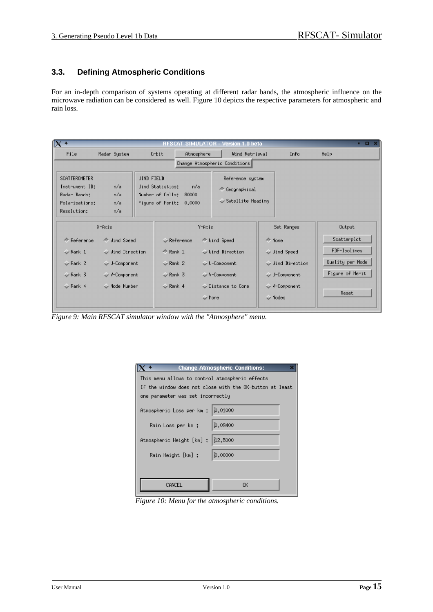# **3.3. Defining Atmospheric Conditions**

For an in-depth comparison of systems operating at different radar bands, the atmospheric influence on the microwave radiation can be considered as well. Figure 10 depicts the respective parameters for atmospheric and rain loss.

| $\mathbb{I}$ X +<br>$   \times$<br>SIMULATOR - Version 1.0 beta<br><b>RESCAT</b>                                                                                                                                                                                                      |                                                                             |                                     |                                                                                                       |                                                                                              |                                                                             |  |  |
|---------------------------------------------------------------------------------------------------------------------------------------------------------------------------------------------------------------------------------------------------------------------------------------|-----------------------------------------------------------------------------|-------------------------------------|-------------------------------------------------------------------------------------------------------|----------------------------------------------------------------------------------------------|-----------------------------------------------------------------------------|--|--|
| File<br>Radar System                                                                                                                                                                                                                                                                  | Orbit                                                                       | Atmosphere                          | Wind Retrieval                                                                                        | Info                                                                                         | Help.                                                                       |  |  |
|                                                                                                                                                                                                                                                                                       | Change Atmospheric Conditions                                               |                                     |                                                                                                       |                                                                                              |                                                                             |  |  |
| WIND FIELD<br><b>SCATTEROMETER</b><br>Reference system<br>n/a<br>Instrument ID:<br>Wind Statistics:<br>n/a<br>← Geographical<br>Number of Cells: 80000<br>n/a<br>Radar Bands:<br>$\sim$ Satellite Heading<br>n/al<br>Figure of Merit: 0,0000<br>Polarisations:<br>Resolution:<br>n/al |                                                                             |                                     |                                                                                                       |                                                                                              |                                                                             |  |  |
| X-Axis<br>Y-Axis<br>Set Ranges                                                                                                                                                                                                                                                        |                                                                             |                                     |                                                                                                       | Output                                                                                       |                                                                             |  |  |
| ← Reference<br>← Wind Speed<br>$\diamond$ Rank 1<br>Uind Direction<br>$\sim$ Rank 2<br>$\vee$ U-Component<br>$\sim$ Rank 3<br>V-Component<br>Node Number<br>$\sim$ Rank 4                                                                                                             | $\Leftrightarrow$ Rank 1<br>$\sim$ Rank 2<br>$\sim$ Rank 3<br>$\sim$ Rank 4 | $\sim$ Reference<br>$\Diamond$ More | ← Wind Speed<br>Uind Direction<br>$\vee$ U-Component<br>$\vee$ V-Component<br>$\sim$ Distance to Cone | ← None<br>Uind Speed<br>Uind Direction<br>↓ U-Component<br>√ V-Component<br>$\Diamond$ Nodes | Scatterplot<br>PDF-Isolines<br>Quality per Node<br>Figure of Merit<br>Reset |  |  |

*Figure 9: Main RFSCAT simulator window with the "Atmosphere" menu.*

| <b>Change Atmospheric Conditions:</b>                    |         |  |  |  |  |  |  |
|----------------------------------------------------------|---------|--|--|--|--|--|--|
| This menu allows to control atmospheric effects          |         |  |  |  |  |  |  |
| If the window does not close with the OK-button at least |         |  |  |  |  |  |  |
| one parameter was set incorrectly                        |         |  |  |  |  |  |  |
| Atmospheric Loss per km :   0.01000                      |         |  |  |  |  |  |  |
| Rain Loss per km :                                       | 0.09400 |  |  |  |  |  |  |
| Atmospheric Height [km] :                                | 12.5000 |  |  |  |  |  |  |
|                                                          |         |  |  |  |  |  |  |
| Rain Height [km] :                                       | 0.00000 |  |  |  |  |  |  |
|                                                          |         |  |  |  |  |  |  |
| OΚ<br>CANCEL.                                            |         |  |  |  |  |  |  |
|                                                          |         |  |  |  |  |  |  |

*Figure 10: Menu for the atmospheric conditions.*

Ľ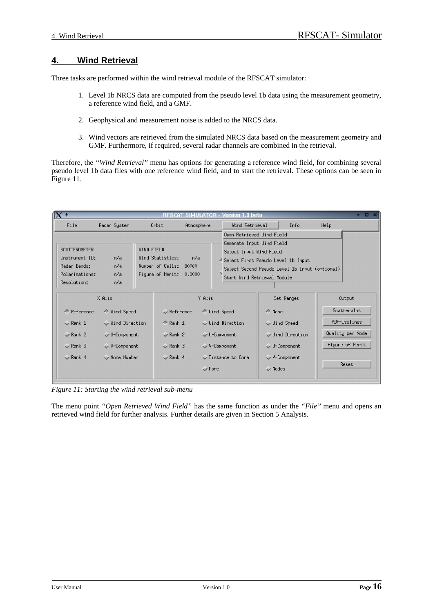# **4. Wind Retrieval**

Three tasks are performed within the wind retrieval module of the RFSCAT simulator:

- 1. Level 1b NRCS data are computed from the pseudo level 1b data using the measurement geometry, a reference wind field, and a GMF.
- 2. Geophysical and measurement noise is added to the NRCS data.
- 3. Wind vectors are retrieved from the simulated NRCS data based on the measurement geometry and GMF. Furthermore, if required, several radar channels are combined in the retrieval.

Therefore, the *"Wind Retrieval"* menu has options for generating a reference wind field, for combining several pseudo level 1b data files with one reference wind field, and to start the retrieval. These options can be seen in Figure 11.

| $\mathbb{I}$ $\times$ +                                                                                             | <b>RESCAT</b><br><b>SIMULATOR</b>                                                                 | Version 1.0 beta                                       |                                                                                                                       | .                |
|---------------------------------------------------------------------------------------------------------------------|---------------------------------------------------------------------------------------------------|--------------------------------------------------------|-----------------------------------------------------------------------------------------------------------------------|------------------|
| File<br>Radar System                                                                                                | Atmosphere<br>Orbit                                                                               | Wind Retrieval                                         | Info                                                                                                                  | Help             |
|                                                                                                                     |                                                                                                   | Open Retrieved Wind Field<br>Generate Input Wind Field |                                                                                                                       |                  |
| <b>SCATTEROMETER</b><br>Instrument ID:<br>n/a<br>Radar Bands:<br>n/a<br>Polarisations:<br>n/a<br>Resolution:<br>n/a | <b>WIND FIELD</b><br>Uind Statistics:<br>n/a<br>Number of Cells: 80000<br>Figure of Merit: 0.0000 | Select Input Wind Field                                | 4 Select First Pseudo Level 1b Input<br>Select Second Pseudo Level 1b Input (optional)<br>Start Wind Retrieval Module |                  |
| X-Axis                                                                                                              | Y-Axis                                                                                            |                                                        | Set Ranges                                                                                                            | Output           |
| ← Reference<br>← Wind Speed                                                                                         | $\Diamond$ Reference                                                                              | ← Wind Speed                                           | ← None                                                                                                                | Scatterplot      |
| Uind Direction<br>$\sim$ Rank 1                                                                                     | $\triangle$ Rank 1                                                                                | Uind Direction                                         | ↓ Wind Speed                                                                                                          | PDF-Isolines     |
| $\triangleright$ Rank 2<br>$\Diamond$ U-Component                                                                   | $\sim$ Rank 2                                                                                     | $\Diamond$ U-Component                                 | Uind Direction                                                                                                        | Quality per Node |
| $\triangledown$ Rank 3<br>$\vee$ V-Component                                                                        | $\sim$ Rank 3                                                                                     | V-Component                                            | $\Diamond$ U-Component                                                                                                | Figure of Merit  |
| $\sim$ Rank 4<br>$\sim$ Node Number                                                                                 | $\sim$ Rank 4<br>← More                                                                           | $\sqrt{}$ Distance to Cone                             | V-Component<br>Modes                                                                                                  | Reset            |

*Figure 11: Starting the wind retrieval sub-menu*

The menu point *"Open Retrieved Wind Field"* has the same function as under the *"File"* menu and opens an retrieved wind field for further analysis. Further details are given in Section 5 Analysis.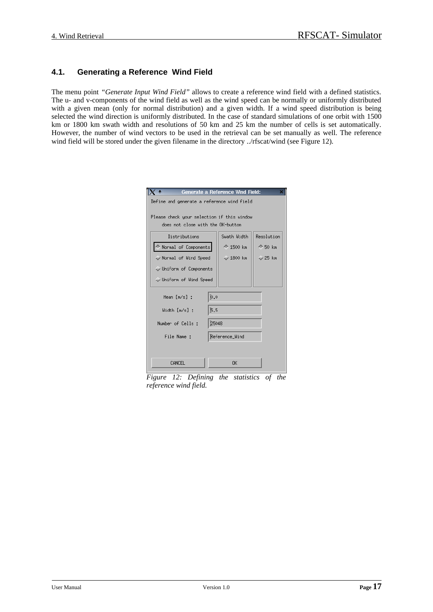# **4.1. Generating a Reference Wind Field**

The menu point *"Generate Input Wind Field"* allows to create a reference wind field with a defined statistics. The u- and v-components of the wind field as well as the wind speed can be normally or uniformly distributed with a given mean (only for normal distribution) and a given width. If a wind speed distribution is being selected the wind direction is uniformly distributed. In the case of standard simulations of one orbit with 1500 km or 1800 km swath width and resolutions of 50 km and 25 km the number of cells is set automatically. However, the number of wind vectors to be used in the retrieval can be set manually as well. The reference wind field will be stored under the given filename in the directory ../rfscat/wind (see Figure 12).

|                                                                                 | <b>Generate a Reference Wind Field:</b><br>× |                  |                   |  |  |  |
|---------------------------------------------------------------------------------|----------------------------------------------|------------------|-------------------|--|--|--|
|                                                                                 | Define and generate a reference wind field   |                  |                   |  |  |  |
|                                                                                 |                                              |                  |                   |  |  |  |
| Please check your selection if this window<br>does not close with the OK-button |                                              |                  |                   |  |  |  |
|                                                                                 |                                              |                  |                   |  |  |  |
| Distributions                                                                   |                                              | Swath Width      | Resolution        |  |  |  |
| ◆ Normal of Components                                                          |                                              | <b>← 1500 km</b> | $\triangle$ 50 km |  |  |  |
| $\sim$ Normal of Wind Speed                                                     |                                              | $\sim$ 1800 km   | $\sim$ 25 km      |  |  |  |
| Uniform of Components                                                           |                                              |                  |                   |  |  |  |
| Uniform of Wind Speed                                                           |                                              |                  |                   |  |  |  |
| Mean [m/s] :                                                                    | Ď.0                                          |                  |                   |  |  |  |
| Width [m/s] :                                                                   | 5.5                                          |                  |                   |  |  |  |
|                                                                                 |                                              |                  |                   |  |  |  |
| Number of Cells :                                                               | 25048                                        |                  |                   |  |  |  |
| Reference_Wind<br>File Name:                                                    |                                              |                  |                   |  |  |  |
|                                                                                 |                                              |                  |                   |  |  |  |
|                                                                                 |                                              |                  |                   |  |  |  |
| CANCEL<br>ΩK                                                                    |                                              |                  |                   |  |  |  |

*Figure 12: Defining the statistics of the reference wind field.*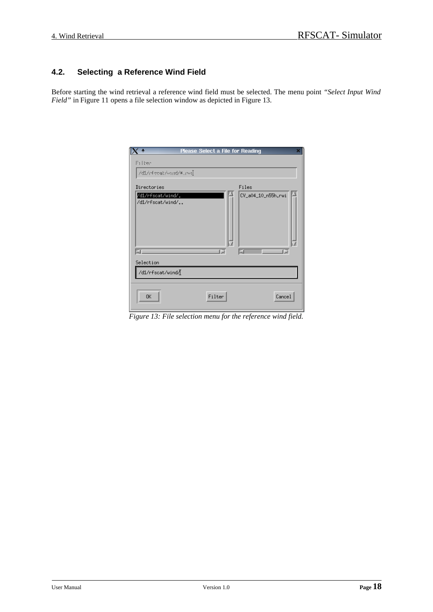# **4.2. Selecting a Reference Wind Field**

Before starting the wind retrieval a reference wind field must be selected. The menu point *"Select Input Wind Field"* in Figure 11 opens a file selection window as depicted in Figure 13.

|                                                            | <b>Please Select a File for Reading</b> |                                  |        |
|------------------------------------------------------------|-----------------------------------------|----------------------------------|--------|
| Filter<br>/di/efecat/emd/*.eei                             |                                         |                                  |        |
| Directories<br>/d1/rfscat/wind/.<br>/d1/rfscat/wind/<br>шI | œ                                       | Files<br>CV_a04_10_n55h.rwi<br>ы | T B    |
| Selection<br>/d1/rfscat/wind/                              |                                         |                                  |        |
| 0K                                                         | Filter                                  |                                  | Cancel |

*Figure 13: File selection menu for the reference wind field.*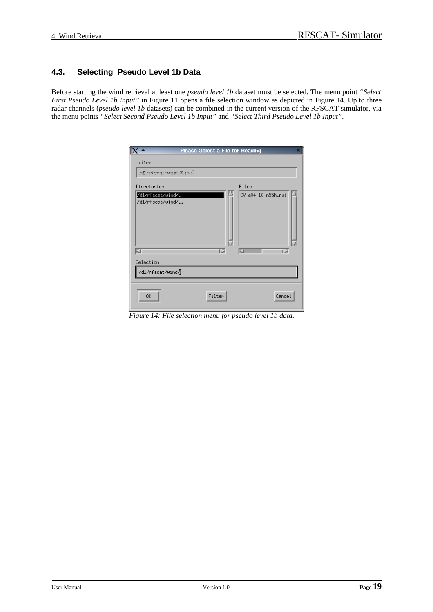# **4.3. Selecting Pseudo Level 1b Data**

Before starting the wind retrieval at least one *pseudo level 1b* dataset must be selected. The menu point *"Select First Pseudo Level 1b Input*" in Figure 11 opens a file selection window as depicted in Figure 14. Up to three radar channels (*pseudo level 1b* datasets) can be combined in the current version of the RFSCAT simulator, via the menu points *"Select Second Pseudo Level 1b Input"* and *"Select Third Pseudo Level 1b Input"*.

|                                                                  | <b>Please Select a File for Reading</b> |                             |
|------------------------------------------------------------------|-----------------------------------------|-----------------------------|
| Filter<br>7di7r4 veat7=md7*.r=nl                                 |                                         |                             |
| Directories<br>/d1/rfscat/wind/ <sub>+</sub><br>/d1/rfscat/wind/ |                                         | Files<br>CV_a04_10_n55h.rwi |
|                                                                  |                                         |                             |
| КI<br>Selection<br>/d1/rfscat/wind/                              | œ                                       | ß<br>БJ                     |
| 0K                                                               | Filter                                  | Cancel                      |

*Figure 14: File selection menu for pseudo level 1b data.*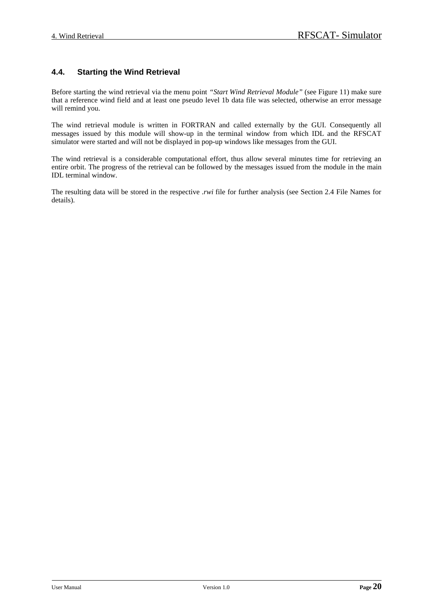# **4.4. Starting the Wind Retrieval**

Before starting the wind retrieval via the menu point *"Start Wind Retrieval Module"* (see Figure 11) make sure that a reference wind field and at least one pseudo level 1b data file was selected, otherwise an error message will remind you.

The wind retrieval module is written in FORTRAN and called externally by the GUI. Consequently all messages issued by this module will show-up in the terminal window from which IDL and the RFSCAT simulator were started and will not be displayed in pop-up windows like messages from the GUI.

The wind retrieval is a considerable computational effort, thus allow several minutes time for retrieving an entire orbit. The progress of the retrieval can be followed by the messages issued from the module in the main IDL terminal window.

The resulting data will be stored in the respective *.rwi* file for further analysis (see Section 2.4 File Names for details).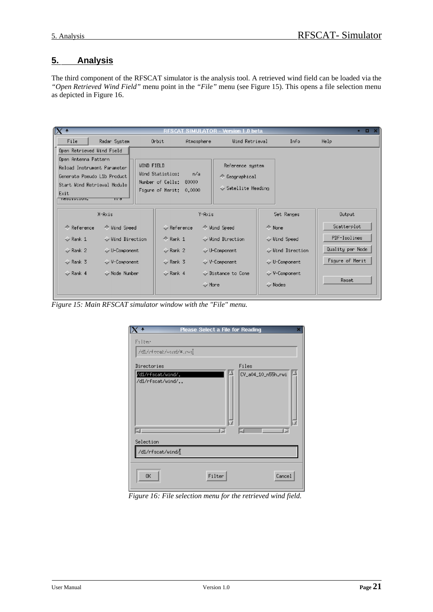# **5. Analysis**

The third component of the RFSCAT simulator is the analysis tool. A retrieved wind field can be loaded via the *"Open Retrieved Wind Field"* menu point in the *"File"* menu (see Figure 15). This opens a file selection menu as depicted in Figure 16.

| $\sqrt{X}$<br>$   \times$<br>SIMULATOR - Version 1.0 beta<br>RESCAT                                                                                                                                                  |                                                                                               |                 |                                                                                                           |                                                                                            |                                                                             |  |
|----------------------------------------------------------------------------------------------------------------------------------------------------------------------------------------------------------------------|-----------------------------------------------------------------------------------------------|-----------------|-----------------------------------------------------------------------------------------------------------|--------------------------------------------------------------------------------------------|-----------------------------------------------------------------------------|--|
| File<br>Radar System                                                                                                                                                                                                 | Orbit                                                                                         | Atmosphere      | Wind Retrieval                                                                                            | Info                                                                                       | Help                                                                        |  |
| Open Retrieved Wind Field                                                                                                                                                                                            |                                                                                               |                 |                                                                                                           |                                                                                            |                                                                             |  |
| Open Antenna Pattern<br>Reload Instrument Parameter<br>Generate Pseudo L1b Product<br>Start Wind Retrieval Module<br>Exit<br><b>INCOULTRATION</b><br>मा ज                                                            | WIND FIELD<br>Wind Statistics:<br>Number of Cells: 80000<br>Figure of Merit: 0,0000           | n/a             | Reference system<br>← Geographical<br>$\leftrightarrow$ Satellite Heading                                 |                                                                                            |                                                                             |  |
| X-Axis                                                                                                                                                                                                               |                                                                                               | Y-Axis          |                                                                                                           | Set Ranges                                                                                 | Output                                                                      |  |
| $\Leftrightarrow$ Reference<br>← Wind Speed<br>Uind Direction<br>$\sim$ Rank 1<br>$\leftrightarrow$ Rank 2<br>$\sim$ U-Component<br><b>V</b> Rank 3<br><b>V-Component</b><br>Node Number<br>$\leftrightarrow$ Rank 4 | $\Diamond$ Reference<br>$\triangle$ Rank 1<br>$\sim$ Rank 2<br>$\sim$ Rank 3<br>$\sim$ Rank 4 | $\diamond$ More | ◆ Wind Speed<br>Uind Direction<br>$\Diamond$ U-Component<br>↓ V-Component<br>$\sqrt{\ }$ Distance to Cone | ← None<br>Uind Speed<br>← Wind Direction<br>↓ U-Component<br>↓ V-Component<br>$\sim$ Nodes | Scatterplot<br>PDF-Isolines<br>Quality per Node<br>Figure of Merit<br>Reset |  |

*Figure 15: Main RFSCAT simulator window with the "File" menu.*

|                                       | <b>Please Select a File for Reading</b> |        |                    |  |  |  |
|---------------------------------------|-----------------------------------------|--------|--------------------|--|--|--|
| Filter<br>7di/réceat/enni/*.ren]      |                                         |        |                    |  |  |  |
| Directories                           |                                         | Files  |                    |  |  |  |
| /d1/rfscat/wind/.<br>/d1/rfscat/wind/ |                                         |        | CV_a04_10_n55h.rwi |  |  |  |
| K.<br>Selection                       |                                         | ъ<br>Ы | 16                 |  |  |  |
| /d1/rfscat/wind/[                     |                                         |        |                    |  |  |  |
| 0K                                    |                                         | Filter | Cancel             |  |  |  |

*Figure 16: File selection menu for the retrieved wind field.*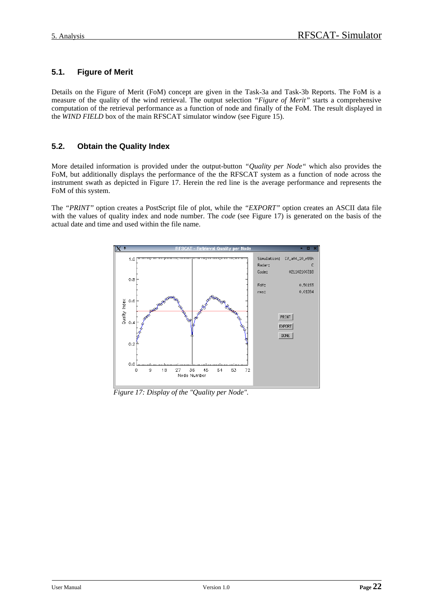# **5.1. Figure of Merit**

Details on the Figure of Merit (FoM) concept are given in the Task-3a and Task-3b Reports. The FoM is a measure of the quality of the wind retrieval. The output selection *"Figure of Merit"* starts a comprehensive computation of the retrieval performance as a function of node and finally of the FoM. The result displayed in the *WIND FIELD* box of the main RFSCAT simulator window (see Figure 15).

# **5.2. Obtain the Quality Index**

More detailed information is provided under the output-button *"Quality per Node"* which also provides the FoM, but additionally displays the performance of the the RFSCAT system as a function of node across the instrument swath as depicted in Figure 17. Herein the red line is the average performance and represents the FoM of this system.

The *"PRINT"* option creates a PostScript file of plot, while the *"EXPORT"* option creates an ASCII data file with the values of quality index and node number. The *code* (see Figure 17) is generated on the basis of the actual date and time and used within the file name.



*Figure 17: Display of the "Quality per Node".*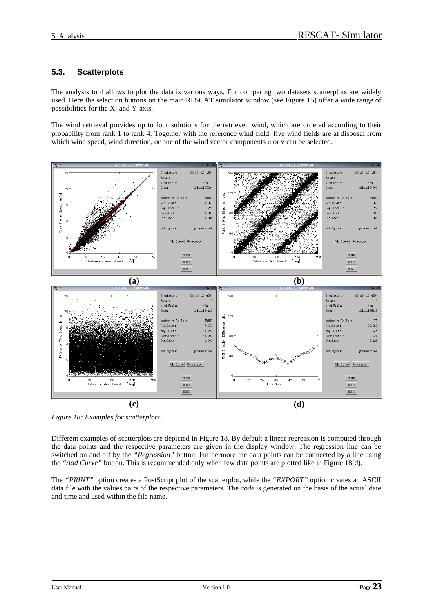# **5.3. Scatterplots**

The analysis tool allows to plot the data is various ways. For comparing two datasets scatterplots are widely used. Here the selection buttons on the main RFSCAT simulator window (see Figure 15) offer a wide range of possibilities for the X- and Y-axis.

The wind retrieval provides up to four solutions for the retrieved wind, which are ordered according to their probability from rank 1 to rank 4. Together with the reference wind field, five wind fields are at disposal from which wind speed, wind direction, or one of the wind vector components u or v can be selected.



*Figure 18: Examples for scatterplots.*

Different examples of scatterplots are depicted in Figure 18. By default a linear regression is computed through the data points and the respective parameters are given in the display window. The regression line can be switched on and off by the *"Regression"* button. Furthermore the data points can be connected by a line using the *"Add Curve"* button. This is recommended only when few data points are plotted like in Figure 18(d).

The *"PRINT"* option creates a PostScript plot of the scatterplot, while the *"EXPORT"* option creates an ASCII data file with the values pairs of the respective parameters. The *code* is generated on the basis of the actual date and time and used within the file name.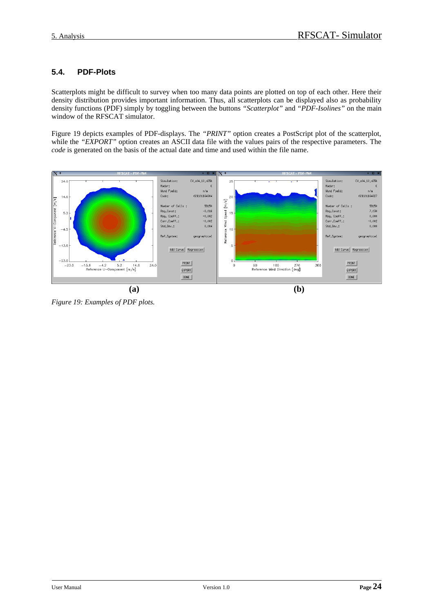# **5.4. PDF-Plots**

Scatterplots might be difficult to survey when too many data points are plotted on top of each other. Here their density distribution provides important information. Thus, all scatterplots can be displayed also as probability density functions (PDF) simply by toggling between the buttons *"Scatterplot"* and *"PDF-Isolines"* on the main window of the RFSCAT simulator.

Figure 19 depicts examples of PDF-displays. The *"PRINT"* option creates a PostScript plot of the scatterplot, while the *"EXPORT"* option creates an ASCII data file with the values pairs of the respective parameters. The *code* is generated on the basis of the actual date and time and used within the file name.



*Figure 19: Examples of PDF plots.*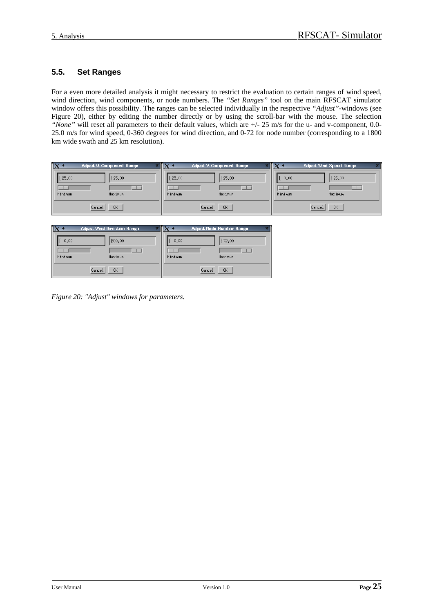# **5.5. Set Ranges**

For a even more detailed analysis it might necessary to restrict the evaluation to certain ranges of wind speed, wind direction, wind components, or node numbers. The *"Set Ranges"* tool on the main RFSCAT simulator window offers this possibility. The ranges can be selected individually in the respective *"Adjust"*-windows (see Figure 20), either by editing the number directly or by using the scroll-bar with the mouse. The selection *"None"* will reset all parameters to their default values, which are +/- 25 m/s for the u- and v-component, 0.0- 25.0 m/s for wind speed, 0-360 degrees for wind direction, and 0-72 for node number (corresponding to a 1800 km wide swath and 25 km resolution).

| $\mathsf{I}\mathsf{X}$ :<br><b>Adjust U-Component Range</b> |              | <b>Adjust V-Component Range</b> |  |              | <b>Adjust Wind Speed Range</b> |  |
|-------------------------------------------------------------|--------------|---------------------------------|--|--------------|--------------------------------|--|
| E25,00<br>125.00                                            | F25.00       | 125.00                          |  | П<br>0.00    | 125.00                         |  |
|                                                             |              |                                 |  |              |                                |  |
| Minimum<br>Maximum                                          | Minimum      | Maximum                         |  | Minimum      | Maximum                        |  |
| 0 <sub>K</sub><br>Cancel                                    | 0K<br>Cancel |                                 |  | 0K<br>Cancel |                                |  |

|         | <b>Adjust Wind Direction Range</b> |         | <b>Adjust Node Number Range</b> |
|---------|------------------------------------|---------|---------------------------------|
| 0.00    | 360.00                             | 0.00    | ∐72,00                          |
| Minimum | Maximum                            | Minimum | Maximum                         |
|         | Cancel<br><b>OK</b>                |         | 0K<br>Cancel                    |

*Figure 20: "Adjust" windows for parameters.*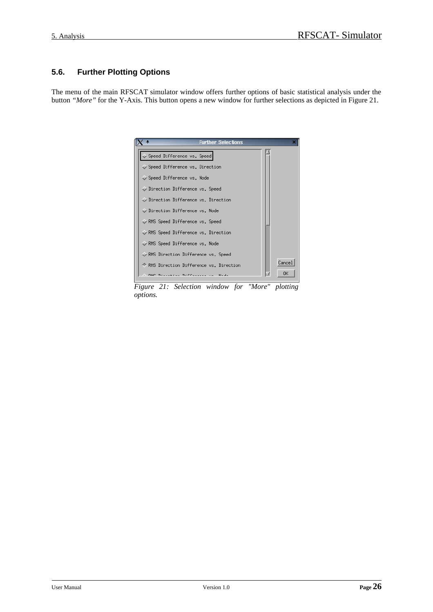# **5.6. Further Plotting Options**

The menu of the main RFSCAT simulator window offers further options of basic statistical analysis under the button *"More"* for the Y-Axis. This button opens a new window for further selections as depicted in Figure 21.



*Figure 21: Selection window for "More" plotting options.*